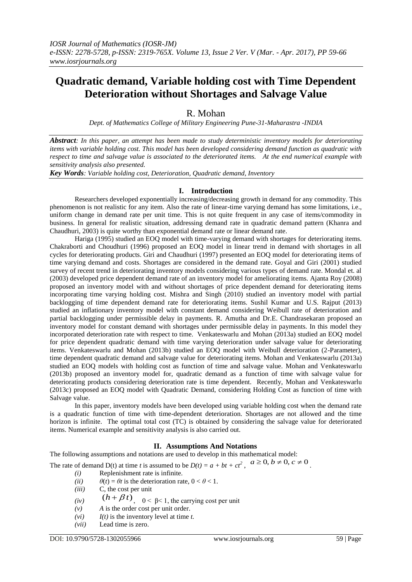# **Quadratic demand, Variable holding cost with Time Dependent Deterioration without Shortages and Salvage Value**

## R. Mohan

*Dept. of Mathematics College of Military Engineering Pune-31-Maharastra -INDIA*

*Abstract: In this paper, an attempt has been made to study deterministic inventory models for deteriorating items with variable holding cost. This model has been developed considering demand function as quadratic with respect to time and salvage value is associated to the deteriorated items. At the end numerical example with sensitivity analysis also presented.* 

*Key Words: Variable holding cost, Deterioration, Quadratic demand, Inventory*

#### **I. Introduction**

Researchers developed exponentially increasing/decreasing growth in demand for any commodity. This phenomenon is not realistic for any item. Also the rate of linear-time varying demand has some limitations, i.e., uniform change in demand rate per unit time. This is not quite frequent in any case of items/commodity in business. In general for realistic situation, addressing demand rate in quadratic demand pattern (Khanra and Chaudhuri, 2003) is quite worthy than exponential demand rate or linear demand rate.

Hariga (1995) studied an EOQ model with time-varying demand with shortages for deteriorating items. Chakraborti and Choudhuri (1996) proposed an EOQ model in linear trend in demand with shortages in all cycles for deteriorating products. Giri and Chaudhuri (1997) presented an EOQ model for deteriorating items of time varying demand and costs. Shortages are considered in the demand rate. Goyal and Giri (2001) studied survey of recent trend in deteriorating inventory models considering various types of demand rate. Mondal et. al (2003) developed price dependent demand rate of an inventory model for ameliorating items. Ajanta Roy (2008) proposed an inventory model with and without shortages of price dependent demand for deteriorating items incorporating time varying holding cost. Mishra and Singh (2010) studied an inventory model with partial backlogging of time dependent demand rate for deteriorating items. Sushil Kumar and U.S. Rajput (2013) studied an inflationary inventory model with constant demand considering Weibull rate of deterioration and partial backlogging under permissible delay in payments. R. Amutha and Dr.E. Chandrasekaran proposed an inventory model for constant demand with shortages under permissible delay in payments. In this model they incorporated deterioration rate with respect to time. Venkateswarlu and Mohan (2013a) studied an EOQ model for price dependent quadratic demand with time varying deterioration under salvage value for deteriorating items. Venkateswarlu and Mohan (2013b) studied an EOQ model with Weibull deterioration (2-Parameter), time dependent quadratic demand and salvage value for deteriorating items. Mohan and Venkateswarlu (2013a) studied an EOQ models with holding cost as function of time and salvage value. Mohan and Venkateswarlu (2013b) proposed an inventory model for, quadratic demand as a function of time with salvage value for deteriorating products considering deterioration rate is time dependent. Recently, Mohan and Venkateswarlu (2013c) proposed an EOQ model with Quadratic Demand, considering Holding Cost as function of time with Salvage value.

In this paper, inventory models have been developed using variable holding cost when the demand rate is a quadratic function of time with time-dependent deterioration. Shortages are not allowed and the time horizon is infinite. The optimal total cost (TC) is obtained by considering the salvage value for deteriorated items. Numerical example and sensitivity analysis is also carried out.

### **II. Assumptions And Notations**

The following assumptions and notations are used to develop in this mathematical model:

The rate of demand D(t) at time *t* is assumed to be  $D(t) = a + bt + ct^2$ ,  $a \ge 0, b \ne 0, c \ne 0$ .

- *(i)* Replenishment rate is infinite.
- (*ii*)  $\theta(t) = \theta t$  is the deterioration rate,  $0 < \theta < 1$ .
- *(iii)* C, the cost per unit
- *(iv)*  $(h + \beta t)$ ,  $0 < \beta < 1$ , the carrying cost per unit
- *(v) A* is the order cost per unit order.
- $(vi)$  *I(t)* is the inventory level at time *t*.
- *(vii)* Lead time is zero.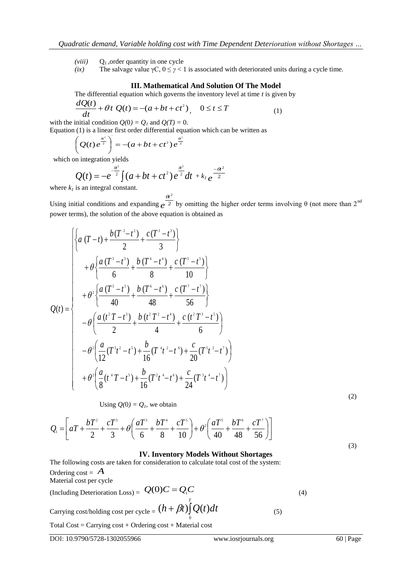- $(viii)$  Q<sub>1</sub>, order quantity in one cycle
- *(ix)* The salvage value  $\gamma C$ ,  $0 \le \gamma < 1$  is associated with deteriorated units during a cycle time.

#### **III. Mathematical And Solution Of The Model**

The differential equation which governs the inventory level at time *t* is given by

$$
\frac{dQ(t)}{dt} + \theta t \ Q(t) = -(a + bt + ct^2), \quad 0 \le t \le T
$$
 (1)

with the initial condition  $Q(0) = Q_l$  and  $Q(T) = 0$ .

Equation (1) is a linear first order differential equation which can be written as

$$
\left(Q(t)e^{\frac{\theta^2}{2}}\right) = -(a+bt+ct^2)e^{\frac{\theta^2}{2}}
$$

which on integration yields

$$
Q(t) = -e^{-\frac{a^2}{2}} \int (a + bt + ct^2) e^{\frac{a^2}{2}} dt + k_1 e^{-\frac{a^2}{2}}
$$

where  $k_i$  is an integral constant.

Using initial conditions and expanding  $e^{2}$  by omitting the higher order term 2  $\mathcal{H}^2$  $e^{-2}$  by omitting the higher order terms involving  $\theta$  (not more than 2<sup>nd</sup>)  $\theta t^2$ power terms), the solution of the above equation is obtained as

$$
Q(t) = \begin{cases} \begin{cases} a(T-t) + \frac{b(T^2 - t^2)}{2} + \frac{c(T^3 - t^3)}{3} \\ + \theta \left\{ \frac{a(T^3 - t^3)}{6} + \frac{b(T^4 - t^4)}{8} + \frac{c(T^5 - t^5)}{10} \right\} \\ + \theta^2 \left\{ \frac{a(T^5 - t^5)}{40} + \frac{b(T^6 - t^6)}{48} + \frac{c(T^7 - t^7)}{56} \right\} \\ - \theta \left( \frac{a(t^2 T - t^3)}{2} + \frac{b(t^2 T^2 - t^4)}{4} + \frac{c(t^2 T^3 - t^5)}{6} \right) \\ - \theta^2 \left( \frac{a}{12} (T^3 t^2 - t^5) + \frac{b}{16} (T^4 t^2 - t^6) + \frac{c}{20} (T^5 t^2 - t^7) \right) \\ + \theta^2 \left( \frac{a}{8} (t^4 T - t^5) + \frac{b}{16} (T^2 t^4 - t^6) + \frac{c}{24} (T^3 t^4 - t^7) \right) \end{cases} \end{cases}
$$
(2)

Using 
$$
Q(0) = Q_1
$$
, we obtain

$$
Q_1 = \left[ aT + \frac{bT^2}{2} + \frac{cT^3}{3} + \theta \left( \frac{aT^3}{6} + \frac{bT^4}{8} + \frac{cT^5}{10} \right) + \theta^2 \left( \frac{aT^5}{40} + \frac{bT^6}{48} + \frac{cT^7}{56} \right) \right]
$$

#### **IV. Inventory Models Without Shortages**

The following costs are taken for consideration to calculate total cost of the system: Ordering cost =  $\overline{A}$ *A* Material cost per cycle

(Including Deterioration Loss) =  $Q(0)C = Q_1C$  (4)  $\alpha$  Carrying cost/holding cost per cycle =  $(h + \beta t) \int\limits_0^T Q(t) dt$  $(h + \beta t) \int_{0}^{t} Q(t) dt$  (5)

Total Cost = Carrying cost + Ordering cost + Material cost

(3)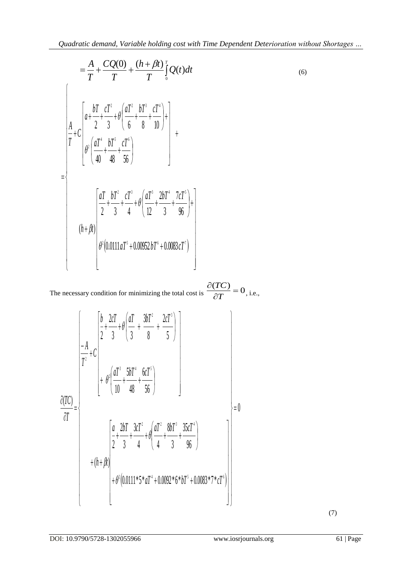(6)

$$
= \frac{A}{T} + \frac{CQ(0)}{T} + \frac{(h + \beta t)}{T} \int_{0}^{T} Q(t) dt
$$
\n
$$
\int_{0}^{A} + C \left[ a + \frac{bT}{2} + \frac{cT^{2}}{3} + \theta \left( \frac{aT^{2}}{6} + \frac{bT^{3}}{8} + \frac{cT^{4}}{10} \right) + \theta^{2} \left( \frac{aT^{4}}{40} + \frac{bT^{3}}{48} + \frac{cT^{6}}{56} \right) \right]
$$
\n
$$
= \begin{cases}\n\frac{aT}{2} + \frac{bT^{2}}{3} + \frac{cT^{3}}{4} + \theta \left( \frac{aT^{3}}{12} + \frac{2bT^{4}}{3} + \frac{7cT^{5}}{96} \right) + \frac{bT^{4}}{2} + \theta \left( \frac{bT^{2}}{12} + \frac{cT^{3}}{3} + \frac{cT^{5}}{96} \right) + \theta^{2} (0.0111aT^{5} + 0.00952bT^{6} + 0.0083cT^{7})\n\end{cases}
$$

The necessary condition for minimizing the total cost is  $\frac{\partial (TC)}{\partial T} = 0$ , i.e.,  $\partial T$   $\qquad \, \circ$ , i.e.,  $\partial (TC)$  $T$   $\sim$  0, 1.e., *TC* , i.e.,

$$
\frac{\partial (TC)}{\partial T} = \begin{cases}\n\frac{b}{2} + \frac{2cT}{3} + \theta \left( \frac{aT}{3} + \frac{3bT^2}{8} + \frac{2cT^3}{5} \right) \\
+ \theta^2 \left( \frac{aT^3}{10} + \frac{5bT^4}{48} + \frac{6cT^5}{56} \right) \\
\frac{\partial (TC)}{\partial T} = \begin{cases}\n\frac{a}{2} + \frac{2bT}{3} + \frac{3cT^2}{4} + \theta \left( \frac{aT^2}{4} + \frac{8bT^3}{3} + \frac{35cT^4}{96} \right) \\
+ (h + \beta t) \\
+ \theta^2 (0.0111 * 5 * aT^4 + 0.0092 * 6 * bT^5 + 0.0083 * 7 * cT^6)\n\end{cases} = 0\n\end{cases}
$$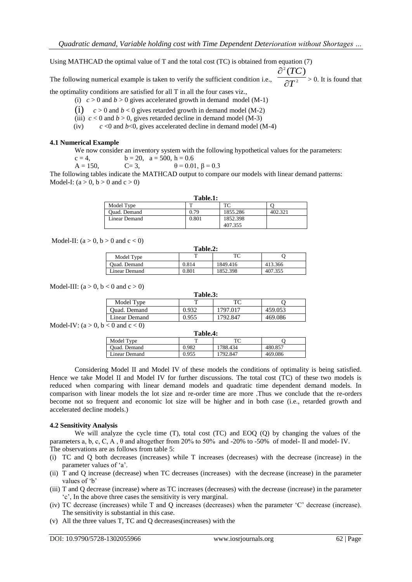Using MATHCAD the optimal value of T and the total cost (TC) is obtained from equation (7)

The following numerical example is taken to verify the sufficient condition i.e.,  $2 \rightarrow 0$ . It is found that  $\binom{2}{T}$  $T^2 > 0$ . It is found that *TC*  $\partial T^2 > 0$ . It is found that  $\partial^2 (TC)$ > 0. It is found that

the optimality conditions are satisfied for all T in all the four cases viz.,

(i)  $c > 0$  and  $b > 0$  gives accelerated growth in demand model (M-1)

- (i)  $c > 0$  and  $b < 0$  gives retarded growth in demand model (M-2)
- (iii)  $c < 0$  and  $b > 0$ , gives retarded decline in demand model (M-3)
- $f(v)$  *c* <0 and *b*<0, gives accelerated decline in demand model (M-4)

#### **4.1 Numerical Example**

We now consider an inventory system with the following hypothetical values for the parameters:

 $c = 4$ ,  $b = 20$ ,  $a = 500$ ,  $h = 0.6$  $A = 150,$   $C = 3,$   $\theta = 0.01, \beta = 0.3$ 

The following tables indicate the MATHCAD output to compare our models with linear demand patterns: Model-I:  $(a > 0, b > 0$  and  $c > 0$ )

| Table.1:      |       |          |         |  |
|---------------|-------|----------|---------|--|
| Model Type    |       | ፐር       |         |  |
| Quad. Demand  | 0.79  | 1855.286 | 402.321 |  |
| Linear Demand | 0.801 | 1852.398 |         |  |
|               |       | 407.355  |         |  |

Model-II:  $(a > 0, b > 0$  and  $c < 0$ )

| Table.2:      |       |          |         |  |
|---------------|-------|----------|---------|--|
| Model Type    |       | ТC       |         |  |
| Ouad. Demand  | 0.814 | 1849.416 | 413.366 |  |
| Linear Demand | 0.801 | 1852.398 | 407.355 |  |

Model-III:  $(a > 0, b < 0$  and  $c > 0$ )

| Table.3:      |       |          |         |  |
|---------------|-------|----------|---------|--|
| Model Type    |       | ፐ $\cap$ |         |  |
| Quad. Demand  | 0.932 | 1797.017 | 459.053 |  |
| Linear Demand | 0.955 | 1792.847 | 469.086 |  |

Model-IV:  $(a > 0, b < 0$  and  $c < 0$ )

| Table.4:      |       |          |         |  |
|---------------|-------|----------|---------|--|
| Model Type    |       | ፐር       |         |  |
| Ouad. Demand  | 0.982 | 1788.434 | 480.857 |  |
| Linear Demand | 0.955 | 1792.847 | 469.086 |  |
|               |       |          |         |  |

Considering Model II and Model IV of these models the conditions of optimality is being satisfied. Hence we take Model II and Model IV for further discussions. The total cost (TC) of these two models is reduced when comparing with linear demand models and quadratic time dependent demand models. In comparison with linear models the lot size and re-order time are more .Thus we conclude that the re-orders become not so frequent and economic lot size will be higher and in both case (i.e., retarded growth and accelerated decline models.)

#### **4.2 Sensitivity Analysis**

We will analyze the cycle time (T), total cost (TC) and EOQ (Q) by changing the values of the parameters a, b, c, C, A , θ and altogether from 20% to 50% and -20% to -50% of model- II and model- IV. The observations are as follows from table 5:

- (i) TC and Q both decreases (increases) while T increases (decreases) with the decrease (increase) in the parameter values of 'a'.
- (ii) T and Q increase (decrease) when TC decreases (increases) with the decrease (increase) in the parameter values of 'b'
- (iii) T and Q decrease (increase) where as TC increases (decreases) with the decrease (increase) in the parameter 'c', In the above three cases the sensitivity is very marginal.
- (iv) TC decrease (increases) while T and Q increases (decreases) when the parameter 'C' decrease (increase). The sensitivity is substantial in this case.
- (v) All the three values T, TC and Q decreases(increases) with the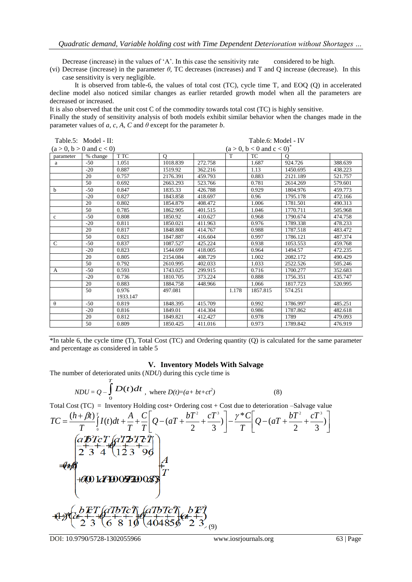Decrease (increase) in the values of 'A'. In this case the sensitivity rate considered to be high.

(vi) Decrease (increase) in the parameter *θ*, TC decreases (increases) and T and Q increase (decrease). In this case sensitivity is very negligible.

It is observed from table-6, the values of total cost (TC), cycle time T, and EOQ (Q) in accelerated decline model also noticed similar changes as earlier retarded growth model when all the parameters are decreased or increased.

It is also observed that the unit cost C of the commodity towards total cost (TC) is highly sensitive.

Finally the study of sensitivity analysis of both models exhibit similar behavior when the changes made in the parameter values of *a*, *c*, *A*, *C* and  $\theta$  except for the parameter *b*.

|              | Table.5: Model - II:                | Table.6: Model - IV |              |         |                                         |           |          |         |
|--------------|-------------------------------------|---------------------|--------------|---------|-----------------------------------------|-----------|----------|---------|
|              | $(a > 0, b > 0 \text{ and } c < 0)$ |                     |              |         | $(a > 0, b < 0 \text{ and } c < 0)^{*}$ |           |          |         |
| parameter    | % change                            | T TC                | $\mathbf{O}$ |         | T                                       | <b>TC</b> | O        |         |
| a            | $-50$                               | 1.051               | 1018.839     | 272.758 |                                         | 1.687     | 924.726  | 388.639 |
|              | $-20$                               | 0.887               | 1519.92      | 362.216 |                                         | 1.13      | 1450.695 | 438.223 |
|              | 20                                  | 0.757               | 2176.391     | 459.793 |                                         | 0.883     | 2121.189 | 521.757 |
|              | 50                                  | 0.692               | 2663.293     | 523.766 |                                         | 0.781     | 2614.269 | 579.601 |
| b            | $-50$                               | 0.847               | 1835.33      | 426.788 |                                         | 0.929     | 1804.976 | 459.773 |
|              | $-20$                               | 0.827               | 1843.858     | 418.697 |                                         | 0.96      | 1795.178 | 472.166 |
|              | 20                                  | 0.802               | 1854.879     | 408.472 |                                         | 1.006     | 1781.501 | 490.313 |
|              | 50                                  | 0.785               | 1862.905     | 401.515 |                                         | 1.046     | 1770.711 | 505.968 |
| $\mathbf c$  | $-50$                               | 0.808               | 1850.92      | 410.627 |                                         | 0.968     | 1790.674 | 474.758 |
|              | $-20$                               | 0.811               | 1850.021     | 411.963 |                                         | 0.976     | 1789.338 | 478.233 |
|              | 20                                  | 0.817               | 1848.808     | 414.767 |                                         | 0.988     | 1787.518 | 483.472 |
|              | 50                                  | 0.821               | 1847.887     | 416.604 |                                         | 0.997     | 1786.121 | 487.374 |
| $\mathsf{C}$ | $-50$                               | 0.837               | 1087.527     | 425.224 |                                         | 0.938     | 1053.553 | 459.768 |
|              | $-20$                               | 0.823               | 1544.699     | 418.005 |                                         | 0.964     | 1494.57  | 472.235 |
|              | 20                                  | 0.805               | 2154.084     | 408.729 |                                         | 1.002     | 2082.172 | 490.429 |
|              | 50                                  | 0.792               | 2610.995     | 402.033 |                                         | 1.033     | 2522.526 | 505.246 |
| A            | $-50$                               | 0.593               | 1743.025     | 299.915 |                                         | 0.716     | 1700.277 | 352.683 |
|              | $-20$                               | 0.736               | 1810.705     | 373.224 |                                         | 0.888     | 1756.351 | 435.747 |
|              | 20                                  | 0.883               | 1884.758     | 448.966 |                                         | 1.066     | 1817.723 | 520.995 |
|              | 50                                  | 0.976               | 497.081      |         | 1.178                                   | 1857.815  | 574.251  |         |
|              |                                     | 1933.147            |              |         |                                         |           |          |         |
| $\theta$     | $-50$                               | 0.819               | 1848.395     | 415.709 |                                         | 0.992     | 1786.997 | 485.251 |
|              | $-20$                               | 0.816               | 1849.01      | 414.304 |                                         | 0.986     | 1787.862 | 482.618 |
|              | 20                                  | 0.812               | 1849.821     | 412.427 |                                         | 0.978     | 1789     | 479.093 |
|              | 50                                  | 0.809               | 1850.425     | 411.016 |                                         | 0.973     | 1789.842 | 476.919 |

\*In table 6, the cycle time (T), Total Cost (TC) and Ordering quantity (Q) is calculated for the same parameter and percentage as considered in table 5

#### **V. Inventory Models With Salvage**

The number of deteriorated units (*NDU*) during this cycle time is

$$
NDU = Q - \int_{0}^{T} D(t)dt
$$
, where  $D(t)=(a+bt+ct^2)$  (8)

Total Cost  $(TC)$  = Inventory Holding cost + Ordering cost + Cost due to deterioration –Salvage value

$$
TC = \frac{(h + \beta t)^{T}}{T} \left[ I(t)dt + \frac{A}{T} + \frac{C}{T} \right] Q - (aT + \frac{bT^{2}}{2} + \frac{cT^{3}}{3}) \left[ -\frac{\gamma^{*}C}{T} \right] Q - (aT + \frac{bT^{2}}{2} + \frac{cT^{3}}{3}) \right]
$$
  
\n
$$
\frac{(aT^{2}C^{T})}{2} \left( \frac{a^{T}D^{T}C^{T}}{2} \right) \left( \frac{a^{T}D^{T}C^{T}}{2} \right)
$$
  
\n
$$
= (aT + \frac{bT^{2}}{2} + \frac{cT^{3}}{3})
$$
  
\n
$$
= (aT + \frac{bT^{2}}{2} + \frac{cT^{3}}{3})
$$
  
\n
$$
= (aT + \frac{bT^{2}}{2} + \frac{cT^{3}}{3})
$$
  
\n
$$
= (aT + \frac{bT^{2}}{2} + \frac{cT^{3}}{3})
$$
  
\n
$$
= (aT + \frac{bT^{2}}{2} + \frac{cT^{3}}{3})
$$
  
\n
$$
= (aT + \frac{bT^{2}}{2} + \frac{cT^{3}}{3})
$$
  
\n
$$
= (aT + \frac{bT^{2}}{2} + \frac{cT^{3}}{3})
$$
  
\n
$$
= (aT + \frac{bT^{2}}{2} + \frac{cT^{3}}{3})
$$
  
\n
$$
= (aT + \frac{bT^{2}}{2} + \frac{cT^{3}}{3})
$$
  
\n
$$
= (aT + \frac{bT^{2}}{2} + \frac{cT^{3}}{3})
$$
  
\n
$$
= (aT + \frac{bT^{2}}{2} + \frac{cT^{3}}{3})
$$

DOI: 10.9790/5728-1302055966 www.iosrjournals.org 63 | Page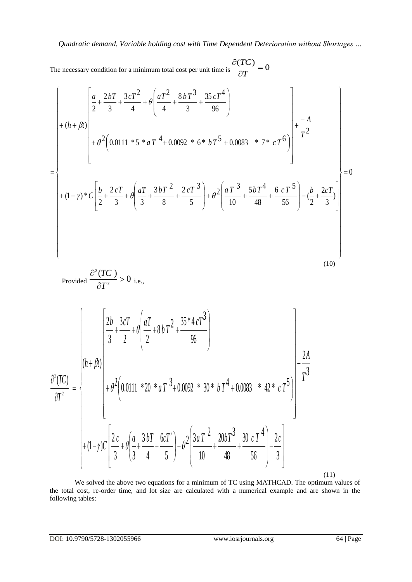The necessary condition for a minimum total cost per unit time is 0  $\frac{(TC)}{2T} = 0$  $\partial T$  and  $\partial T$  and  $\partial T$  are  $\partial T$  and  $\partial T$  are  $\partial T$  $\partial (TC)$ *T*

The necessary condition for a minimum total cost per unit time is 
$$
\frac{\partial (TC)}{\partial T} = 0
$$
  
\n
$$
\begin{bmatrix}\n\frac{a}{2} + \frac{2bT}{3} + \frac{3cT^2}{4} + \theta \left( \frac{aT^2}{4} + \frac{8bT^3}{3} + \frac{35cT^4}{96} \right) \\
+ (h + \beta t)\n\end{bmatrix} + (h + \beta t)\n\begin{bmatrix}\n\frac{a}{2} + \frac{2bT}{3} + \frac{3cT^2}{4} + \theta \left( \frac{aT^2}{4} + \frac{8bT^3}{3} + \frac{35cT^4}{96} \right) \\
+ \theta^2 \left( 0.0111 * 5 * aT^4 + 0.0092 * 6 * bT^5 + 0.0083 * 7 * cT^6 \right)\n\end{bmatrix} + \frac{-A}{T^2}
$$
\n
$$
+ (1 - \gamma) * C \left[ \frac{b}{2} + \frac{2cT}{3} + \theta \left( \frac{aT}{3} + \frac{3bT^2}{8} + \frac{2cT^3}{5} \right) + \theta^2 \left( \frac{aT^3}{10} + \frac{5bT^4}{48} + \frac{6 cT^5}{56} \right) - (\frac{b}{2} + \frac{2cT}{3}) \right]
$$
\n(10)

$$
Provided \frac{\partial^2 (TC)}{\partial T^2} > 0
$$
 i.e.,

$$
\frac{\partial^2 (TC)}{\partial T^2} = \begin{cases}\n\frac{2b}{3} + \frac{3cT}{2} + \theta \left( \frac{aT}{2} + 8bT^2 + \frac{35*4cT^3}{96} \right) & \text{if } \\ \theta^2 (TC) & \text{if } \\ \theta^2 (TC) & \text{if } \\ \theta^2 (0.0111 + 20 * aT^3 + 0.0092 * 30 * bT^4 + 0.0083 * 42 * cT^5) & \text{if } \\ \theta^2 (1 - r)c \left[ \frac{2c}{3} + \theta \left( \frac{a}{3} + \frac{3bT}{4} + \frac{6cT^2}{5} \right) + \theta^2 \left( \frac{3aT^2}{10} + \frac{20bT^3}{48} + \frac{30 cT^4}{56} \right) - \frac{2c}{3} \right]\n\end{cases}
$$

(11)

We solved the above two equations for a minimum of TC using MATHCAD. The optimum values of the total cost, re-order time, and lot size are calculated with a numerical example and are shown in the following tables: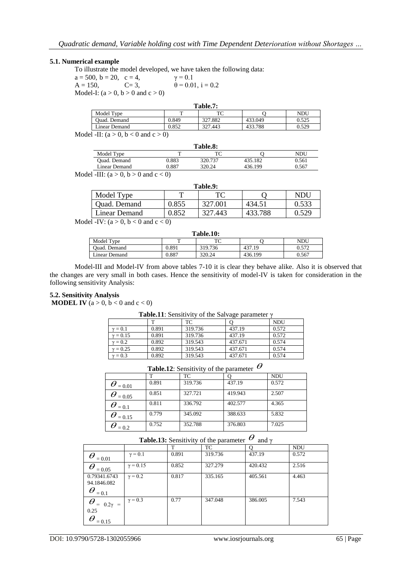#### **5.1. Numerical example**

To illustrate the model developed, we have taken the following data:

 $a = 500$ ,  $b = 20$ ,  $c = 4$ ,  $\gamma = 0.1$  $A = 150,$   $C = 3,$   $\theta = 0.01, i = 0.2$ Model-I:  $(a > 0, b > 0$  and  $c > 0$ )

| Table.7:                                                                                                                           |       |         |         |       |  |  |
|------------------------------------------------------------------------------------------------------------------------------------|-------|---------|---------|-------|--|--|
| Model Type                                                                                                                         |       |         |         | NDU   |  |  |
| Ouad. Demand                                                                                                                       | 0.849 | 327.882 | 433.049 | 0.525 |  |  |
| Linear Demand                                                                                                                      | 0.852 | 327.443 | 433.788 | 0.529 |  |  |
| $\mathcal{A}$ of $\mathbf{H} \cdot (\mathbf{a} \times \mathbf{A} \mathbf{b} \times \mathbf{a})$ and $\mathbf{a} \times \mathbf{A}$ |       |         |         |       |  |  |

Model -II:  $(a > 0, b < 0 \text{ and } c > 0)$ 

|               |       | <b>Table.8:</b> |         |       |
|---------------|-------|-----------------|---------|-------|
| Model Type    |       | ፐር              |         | NDU   |
| Quad. Demand  | 0.883 | 320.737         | 435.182 | 0.561 |
| Linear Demand | 0.887 | 320.24          | 436.199 | 0.567 |

Model -III:  $(a > 0, b > 0$  and  $c < 0$ )

| Table.9:      |       |         |         |       |  |  |
|---------------|-------|---------|---------|-------|--|--|
| Model Type    |       | TС      |         | NDU   |  |  |
| Quad. Demand  | 0.855 | 327.001 | 434.51  | 0.533 |  |  |
| Linear Demand | 0.852 | 327.443 | 433.788 | 0.529 |  |  |

Model -IV:  $(a > 0, b < 0$  and  $c < 0$ )

| Table.10:     |       |         |         |       |  |  |
|---------------|-------|---------|---------|-------|--|--|
| Model Type    | m     | ፐር      |         | NDU   |  |  |
| Ouad. Demand  | 0.891 | 319.736 | 437.19  | 0.572 |  |  |
| Linear Demand | 0.887 | 320.24  | 436.199 | 0.567 |  |  |

Model-III and Model-IV from above tables 7-10 it is clear they behave alike. Also it is observed that the changes are very small in both cases. Hence the sensitivity of model-IV is taken for consideration in the following sensitivity Analysis:

#### **5.2. Sensitivity Analysis**

**MODEL IV** ( $a > 0$ ,  $b < 0$  and  $c < 0$ )

**Table.11**: Sensitivity of the Salvage parameter γ

|                |       | TC      |         | <b>NDU</b> |
|----------------|-------|---------|---------|------------|
| $v = 0.1$      | 0.891 | 319.736 | 437.19  | 0.572      |
| $v = 0.15$     | 0.891 | 319.736 | 437.19  | 0.572      |
| $\gamma = 0.2$ | 0.892 | 319.543 | 437.671 | 0.574      |
| $v = 0.25$     | 0.892 | 319.543 | 437.671 | 0.574      |
| $v = 0.3$      | 0.892 | 319.543 | 437.671 | 0.574      |

#### **Table.12**: Sensitivity of the parameter  $\theta$  $\theta$

|                       | m     | <b>TC</b> |         | <b>NDU</b> |
|-----------------------|-------|-----------|---------|------------|
| $\bm{\theta}_{=0.01}$ | 0.891 | 319.736   | 437.19  | 0.572      |
| $= 0.05$              | 0.851 | 327.721   | 419.943 | 2.507      |
| $= 0.1$               | 0.811 | 336.792   | 402.577 | 4.365      |
| $= 0.15$              | 0.779 | 345.092   | 388.633 | 5.832      |
| $= 0.2$               | 0.752 | 352.788   | 376.803 | 7.025      |

### **Table.13:** Sensitivity of the parameter  $\theta$  and  $\gamma$

|                                                           |                 | т     | TC      |         | <b>NDU</b> |
|-----------------------------------------------------------|-----------------|-------|---------|---------|------------|
| $\theta$<br>$= 0.01$                                      | $\gamma = 0.1$  | 0.891 | 319.736 | 437.19  | 0.572      |
| $\theta$<br>$= 0.05$                                      | $\gamma = 0.15$ | 0.852 | 327.279 | 420.432 | 2.516      |
| 0.79341.6743<br>94.1846.082<br>$\theta$<br>$= 0.1$        | $\gamma = 0.2$  | 0.817 | 335.165 | 405.561 | 4.463      |
| $\theta$<br>$0.2\gamma =$<br>0.25<br>$\theta$<br>$= 0.15$ | $\gamma = 0.3$  | 0.77  | 347.048 | 386.005 | 7.543      |